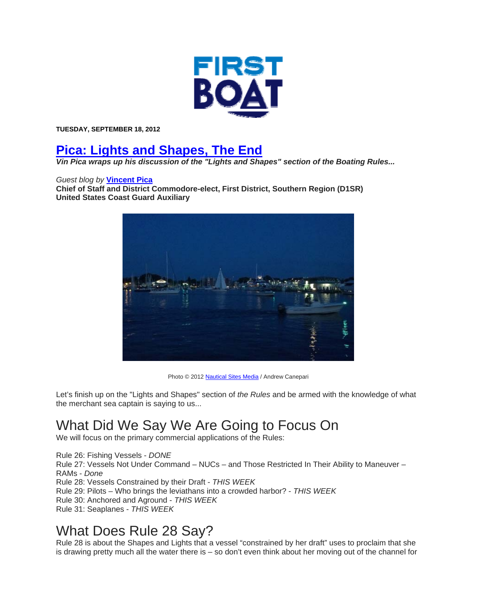

**TUESDAY, SEPTEMBER 18, 2012** 

#### **Pica: Lights and Shapes, The End**

*Vin Pica wraps up his discussion of the "Lights and Shapes" section of the Boating Rules...* 

#### *Guest blog by* **Vincent Pica**

**Chief of Staff and District Commodore-elect, First District, Southern Region (D1SR) United States Coast Guard Auxiliary**



Photo © 2012 Nautical Sites Media / Andrew Canepari

Let's finish up on the "Lights and Shapes" section of *the Rules* and be armed with the knowledge of what the merchant sea captain is saying to us...

# What Did We Say We Are Going to Focus On

We will focus on the primary commercial applications of the Rules:

Rule 26: Fishing Vessels - *DONE* Rule 27: Vessels Not Under Command – NUCs – and Those Restricted In Their Ability to Maneuver – RAMs - *Done* Rule 28: Vessels Constrained by their Draft - *THIS WEEK* Rule 29: Pilots – Who brings the leviathans into a crowded harbor? - *THIS WEEK* Rule 30: Anchored and Aground - *THIS WEEK* Rule 31: Seaplanes - *THIS WEEK* 

#### What Does Rule 28 Say?

Rule 28 is about the Shapes and Lights that a vessel "constrained by her draft" uses to proclaim that she is drawing pretty much all the water there is – so don't even think about her moving out of the channel for